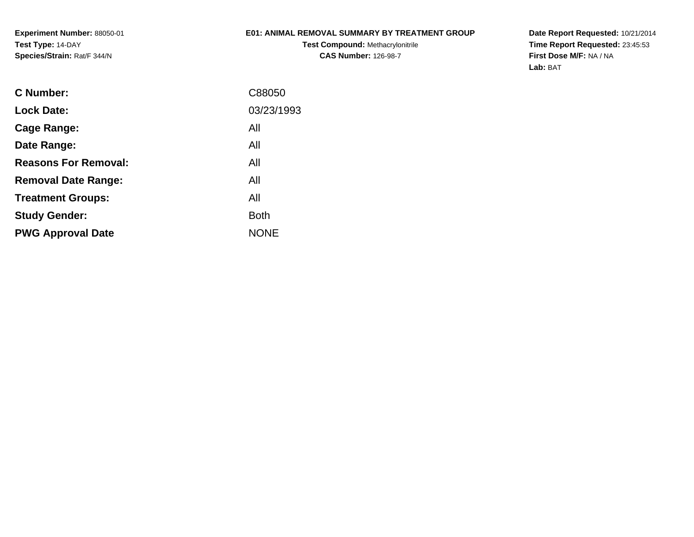## **E01: ANIMAL REMOVAL SUMMARY BY TREATMENT GROUP**

**Test Compound:** Methacrylonitrile**CAS Number:** 126-98-7

**Date Report Requested:** 10/21/2014 **Time Report Requested:** 23:45:53**First Dose M/F:** NA / NA**Lab:** BAT

| C Number:                   | C88050      |
|-----------------------------|-------------|
| <b>Lock Date:</b>           | 03/23/1993  |
| Cage Range:                 | All         |
| Date Range:                 | All         |
| <b>Reasons For Removal:</b> | All         |
| <b>Removal Date Range:</b>  | All         |
| <b>Treatment Groups:</b>    | All         |
| <b>Study Gender:</b>        | <b>Both</b> |
| <b>PWG Approval Date</b>    | <b>NONE</b> |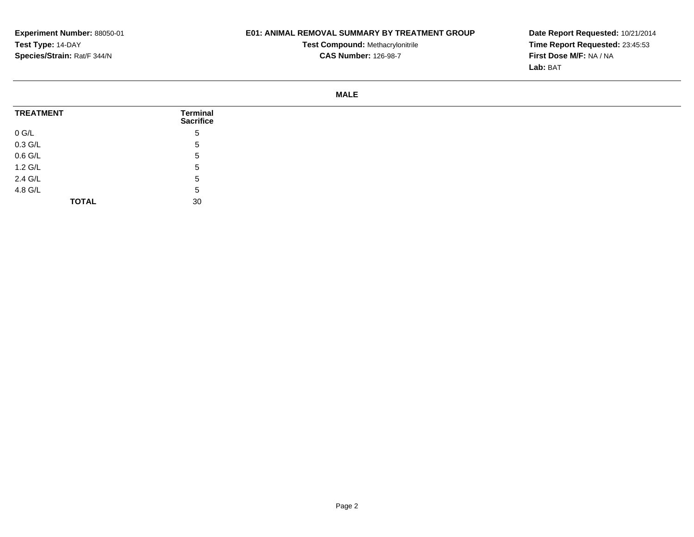## **E01: ANIMAL REMOVAL SUMMARY BY TREATMENT GROUP**

**Test Compound:** Methacrylonitrile**CAS Number:** 126-98-7

**Date Report Requested:** 10/21/2014 **Time Report Requested:** 23:45:53**First Dose M/F:** NA / NA**Lab:** BAT

#### **MALE**

| <b>TREATMENT</b>              | <b>Terminal</b><br><b>Sacrifice</b> |
|-------------------------------|-------------------------------------|
| $0$ G/L                       | 5                                   |
| 0.3 G/L<br>0.6 G/L<br>1.2 G/L | 5                                   |
|                               | 5                                   |
|                               | 5                                   |
| 2.4 G/L                       | 5                                   |
| 4.8 G/L                       | 5                                   |
| <b>TOTAL</b>                  | 30                                  |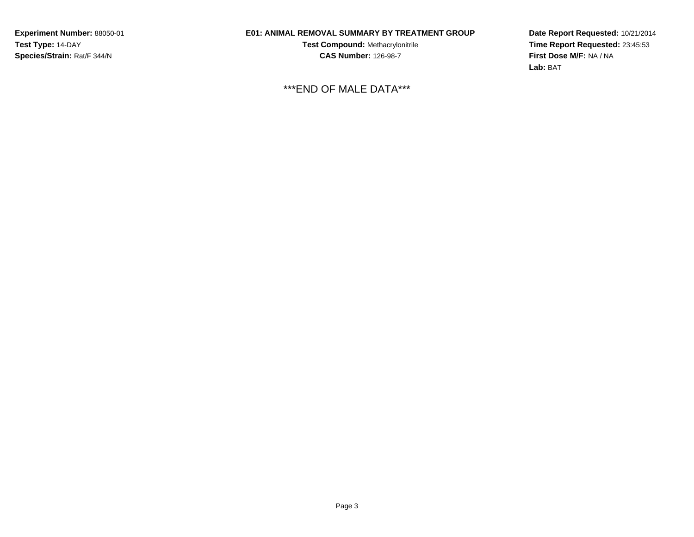# **E01: ANIMAL REMOVAL SUMMARY BY TREATMENT GROUP**

**Test Compound:** Methacrylonitrile**CAS Number:** 126-98-7

\*\*\*END OF MALE DATA\*\*\*

**Date Report Requested:** 10/21/2014 **Time Report Requested:** 23:45:53**First Dose M/F:** NA / NA**Lab:** BAT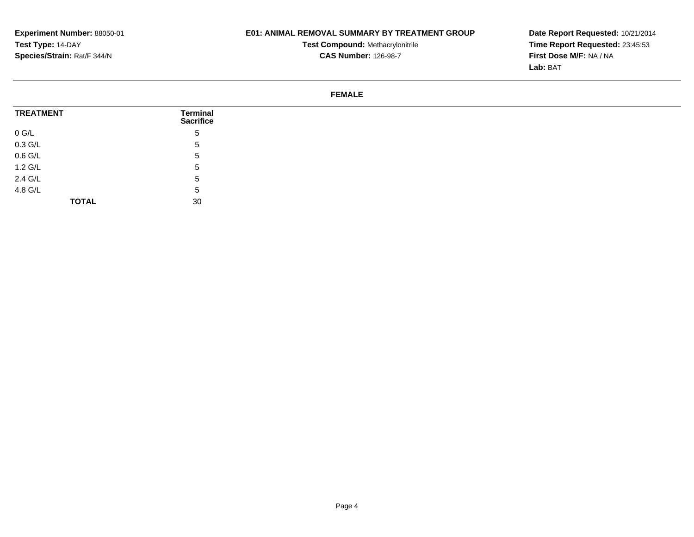## **E01: ANIMAL REMOVAL SUMMARY BY TREATMENT GROUP**

**Test Compound:** Methacrylonitrile**CAS Number:** 126-98-7

**Date Report Requested:** 10/21/2014 **Time Report Requested:** 23:45:53**First Dose M/F:** NA / NA**Lab:** BAT

#### **FEMALE**

| <b>TREATMENT</b>          | Terminal<br><b>Sacrifice</b> |
|---------------------------|------------------------------|
| $0$ G/L                   | $5^{\circ}$                  |
| $0.3$ G/L                 | <sub>5</sub>                 |
| $0.6$ G/L                 | $5^{\circ}$                  |
| $1.2 \text{ } \text{G/L}$ | $\mathbf{p}$                 |
| 2.4 G/L<br>4.8 G/L        | 5                            |
|                           | <sub>5</sub>                 |
| <b>TOTAL</b>              | 30                           |